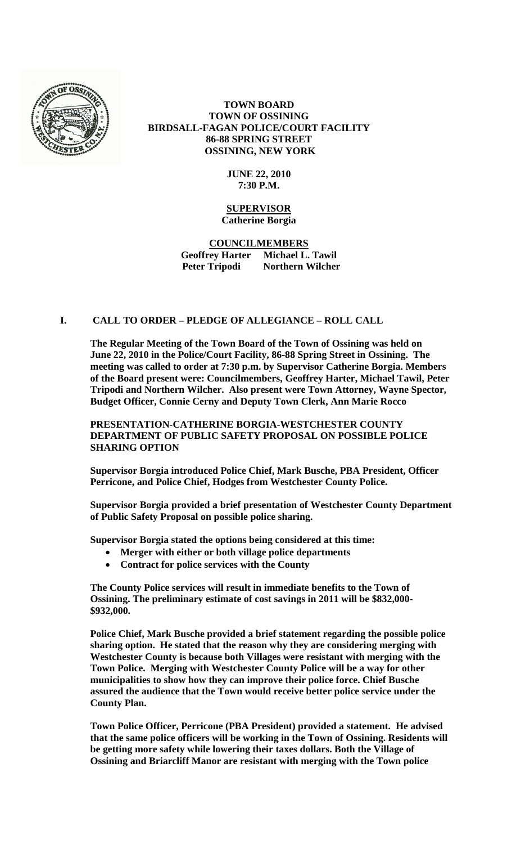

# **TOWN BOARD TOWN OF OSSINING BIRDSALL-FAGAN POLICE/COURT FACILITY 86-88 SPRING STREET OSSINING, NEW YORK**

## **JUNE 22, 2010 7:30 P.M.**

### **SUPERVISOR Catherine Borgia**

**COUNCILMEMBERS Geoffrey Harter Michael L. Tawil Peter Tripodi Northern Wilcher**

## **I. CALL TO ORDER – PLEDGE OF ALLEGIANCE – ROLL CALL**

**The Regular Meeting of the Town Board of the Town of Ossining was held on June 22, 2010 in the Police/Court Facility, 86-88 Spring Street in Ossining. The meeting was called to order at 7:30 p.m. by Supervisor Catherine Borgia. Members of the Board present were: Councilmembers, Geoffrey Harter, Michael Tawil, Peter Tripodi and Northern Wilcher. Also present were Town Attorney, Wayne Spector, Budget Officer, Connie Cerny and Deputy Town Clerk, Ann Marie Rocco**

**PRESENTATION-CATHERINE BORGIA-WESTCHESTER COUNTY DEPARTMENT OF PUBLIC SAFETY PROPOSAL ON POSSIBLE POLICE SHARING OPTION**

**Supervisor Borgia introduced Police Chief, Mark Busche, PBA President, Officer Perricone, and Police Chief, Hodges from Westchester County Police.**

**Supervisor Borgia provided a brief presentation of Westchester County Department of Public Safety Proposal on possible police sharing.**

**Supervisor Borgia stated the options being considered at this time:**

- **Merger with either or both village police departments**
- **Contract for police services with the County**

**The County Police services will result in immediate benefits to the Town of Ossining. The preliminary estimate of cost savings in 2011 will be \$832,000- \$932,000.**

**Police Chief, Mark Busche provided a brief statement regarding the possible police sharing option. He stated that the reason why they are considering merging with Westchester County is because both Villages were resistant with merging with the Town Police. Merging with Westchester County Police will be a way for other municipalities to show how they can improve their police force. Chief Busche assured the audience that the Town would receive better police service under the County Plan.** 

**Town Police Officer, Perricone (PBA President) provided a statement. He advised that the same police officers will be working in the Town of Ossining. Residents will be getting more safety while lowering their taxes dollars. Both the Village of Ossining and Briarcliff Manor are resistant with merging with the Town police**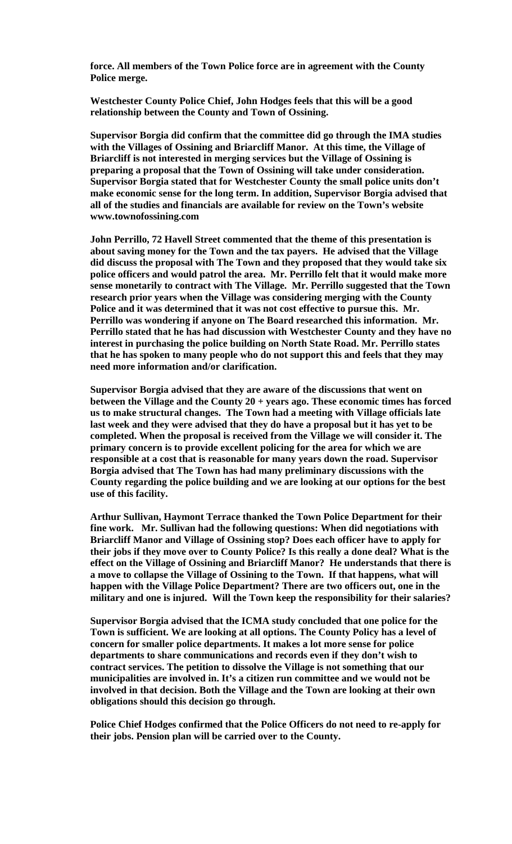**force. All members of the Town Police force are in agreement with the County Police merge.**

**Westchester County Police Chief, John Hodges feels that this will be a good relationship between the County and Town of Ossining.**

**Supervisor Borgia did confirm that the committee did go through the IMA studies with the Villages of Ossining and Briarcliff Manor. At this time, the Village of Briarcliff is not interested in merging services but the Village of Ossining is preparing a proposal that the Town of Ossining will take under consideration. Supervisor Borgia stated that for Westchester County the small police units don't make economic sense for the long term. In addition, Supervisor Borgia advised that all of the studies and financials are available for review on the Town's website www.townofossining.com** 

**John Perrillo, 72 Havell Street commented that the theme of this presentation is about saving money for the Town and the tax payers. He advised that the Village did discuss the proposal with The Town and they proposed that they would take six police officers and would patrol the area. Mr. Perrillo felt that it would make more sense monetarily to contract with The Village. Mr. Perrillo suggested that the Town research prior years when the Village was considering merging with the County Police and it was determined that it was not cost effective to pursue this. Mr. Perrillo was wondering if anyone on The Board researched this information. Mr. Perrillo stated that he has had discussion with Westchester County and they have no interest in purchasing the police building on North State Road. Mr. Perrillo states that he has spoken to many people who do not support this and feels that they may need more information and/or clarification.** 

**Supervisor Borgia advised that they are aware of the discussions that went on between the Village and the County 20 + years ago. These economic times has forced us to make structural changes. The Town had a meeting with Village officials late last week and they were advised that they do have a proposal but it has yet to be completed. When the proposal is received from the Village we will consider it. The primary concern is to provide excellent policing for the area for which we are responsible at a cost that is reasonable for many years down the road. Supervisor Borgia advised that The Town has had many preliminary discussions with the County regarding the police building and we are looking at our options for the best use of this facility.** 

**Arthur Sullivan, Haymont Terrace thanked the Town Police Department for their fine work. Mr. Sullivan had the following questions: When did negotiations with Briarcliff Manor and Village of Ossining stop? Does each officer have to apply for their jobs if they move over to County Police? Is this really a done deal? What is the effect on the Village of Ossining and Briarcliff Manor? He understands that there is a move to collapse the Village of Ossining to the Town. If that happens, what will happen with the Village Police Department? There are two officers out, one in the military and one is injured. Will the Town keep the responsibility for their salaries?**

**Supervisor Borgia advised that the ICMA study concluded that one police for the Town is sufficient. We are looking at all options. The County Policy has a level of concern for smaller police departments. It makes a lot more sense for police departments to share communications and records even if they don't wish to contract services. The petition to dissolve the Village is not something that our municipalities are involved in. It's a citizen run committee and we would not be involved in that decision. Both the Village and the Town are looking at their own obligations should this decision go through.** 

**Police Chief Hodges confirmed that the Police Officers do not need to re-apply for their jobs. Pension plan will be carried over to the County.**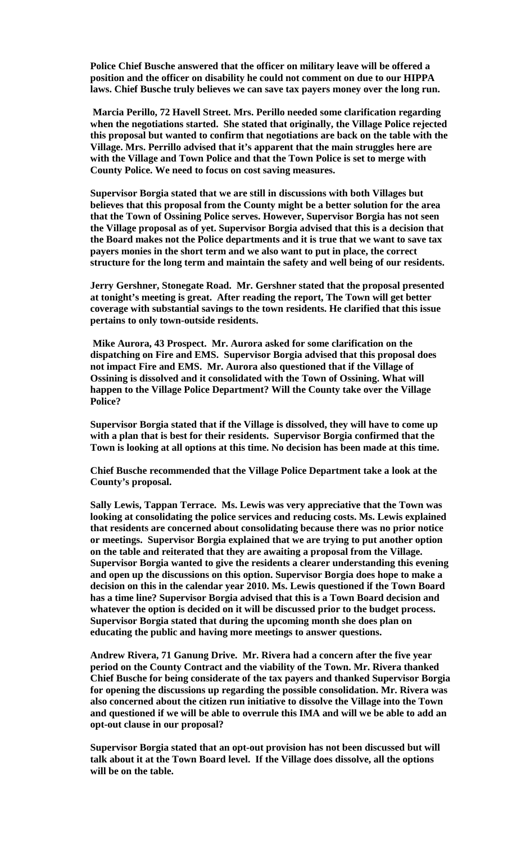**Police Chief Busche answered that the officer on military leave will be offered a position and the officer on disability he could not comment on due to our HIPPA laws. Chief Busche truly believes we can save tax payers money over the long run.**

**Marcia Perillo, 72 Havell Street. Mrs. Perillo needed some clarification regarding when the negotiations started. She stated that originally, the Village Police rejected this proposal but wanted to confirm that negotiations are back on the table with the Village. Mrs. Perrillo advised that it's apparent that the main struggles here are with the Village and Town Police and that the Town Police is set to merge with County Police. We need to focus on cost saving measures.**

**Supervisor Borgia stated that we are still in discussions with both Villages but believes that this proposal from the County might be a better solution for the area that the Town of Ossining Police serves. However, Supervisor Borgia has not seen the Village proposal as of yet. Supervisor Borgia advised that this is a decision that the Board makes not the Police departments and it is true that we want to save tax payers monies in the short term and we also want to put in place, the correct structure for the long term and maintain the safety and well being of our residents.**

**Jerry Gershner, Stonegate Road. Mr. Gershner stated that the proposal presented at tonight's meeting is great. After reading the report, The Town will get better coverage with substantial savings to the town residents. He clarified that this issue pertains to only town-outside residents.**

**Mike Aurora, 43 Prospect. Mr. Aurora asked for some clarification on the dispatching on Fire and EMS. Supervisor Borgia advised that this proposal does not impact Fire and EMS. Mr. Aurora also questioned that if the Village of Ossining is dissolved and it consolidated with the Town of Ossining. What will happen to the Village Police Department? Will the County take over the Village Police?** 

**Supervisor Borgia stated that if the Village is dissolved, they will have to come up with a plan that is best for their residents. Supervisor Borgia confirmed that the Town is looking at all options at this time. No decision has been made at this time.**

**Chief Busche recommended that the Village Police Department take a look at the County's proposal.**

**Sally Lewis, Tappan Terrace. Ms. Lewis was very appreciative that the Town was looking at consolidating the police services and reducing costs. Ms. Lewis explained that residents are concerned about consolidating because there was no prior notice or meetings. Supervisor Borgia explained that we are trying to put another option on the table and reiterated that they are awaiting a proposal from the Village. Supervisor Borgia wanted to give the residents a clearer understanding this evening and open up the discussions on this option. Supervisor Borgia does hope to make a decision on this in the calendar year 2010. Ms. Lewis questioned if the Town Board has a time line? Supervisor Borgia advised that this is a Town Board decision and whatever the option is decided on it will be discussed prior to the budget process. Supervisor Borgia stated that during the upcoming month she does plan on educating the public and having more meetings to answer questions.** 

**Andrew Rivera, 71 Ganung Drive. Mr. Rivera had a concern after the five year period on the County Contract and the viability of the Town. Mr. Rivera thanked Chief Busche for being considerate of the tax payers and thanked Supervisor Borgia for opening the discussions up regarding the possible consolidation. Mr. Rivera was also concerned about the citizen run initiative to dissolve the Village into the Town and questioned if we will be able to overrule this IMA and will we be able to add an opt-out clause in our proposal?** 

**Supervisor Borgia stated that an opt-out provision has not been discussed but will talk about it at the Town Board level. If the Village does dissolve, all the options will be on the table.**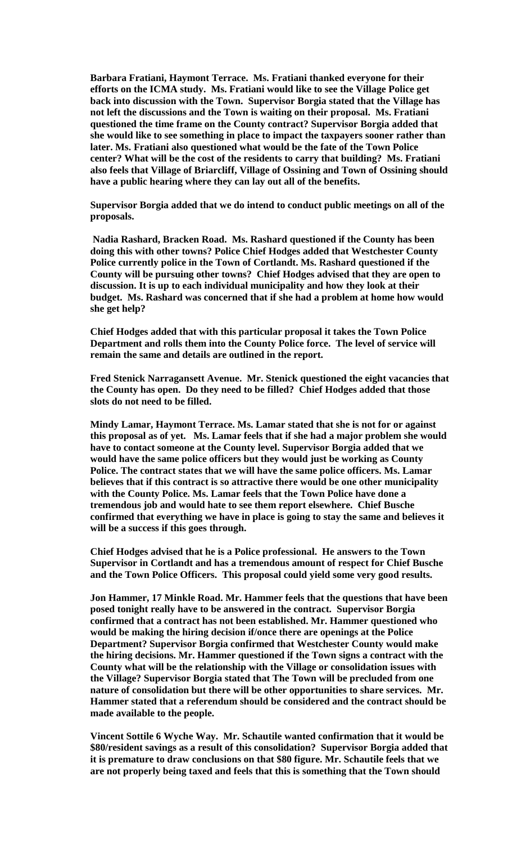**Barbara Fratiani, Haymont Terrace. Ms. Fratiani thanked everyone for their efforts on the ICMA study. Ms. Fratiani would like to see the Village Police get back into discussion with the Town. Supervisor Borgia stated that the Village has not left the discussions and the Town is waiting on their proposal. Ms. Fratiani questioned the time frame on the County contract? Supervisor Borgia added that she would like to see something in place to impact the taxpayers sooner rather than later. Ms. Fratiani also questioned what would be the fate of the Town Police center? What will be the cost of the residents to carry that building? Ms. Fratiani also feels that Village of Briarcliff, Village of Ossining and Town of Ossining should have a public hearing where they can lay out all of the benefits.**

**Supervisor Borgia added that we do intend to conduct public meetings on all of the proposals.**

**Nadia Rashard, Bracken Road. Ms. Rashard questioned if the County has been doing this with other towns? Police Chief Hodges added that Westchester County Police currently police in the Town of Cortlandt. Ms. Rashard questioned if the County will be pursuing other towns? Chief Hodges advised that they are open to discussion. It is up to each individual municipality and how they look at their budget. Ms. Rashard was concerned that if she had a problem at home how would she get help?**

**Chief Hodges added that with this particular proposal it takes the Town Police Department and rolls them into the County Police force. The level of service will remain the same and details are outlined in the report.** 

**Fred Stenick Narragansett Avenue. Mr. Stenick questioned the eight vacancies that the County has open. Do they need to be filled? Chief Hodges added that those slots do not need to be filled.**

**Mindy Lamar, Haymont Terrace. Ms. Lamar stated that she is not for or against this proposal as of yet. Ms. Lamar feels that if she had a major problem she would have to contact someone at the County level. Supervisor Borgia added that we would have the same police officers but they would just be working as County Police. The contract states that we will have the same police officers. Ms. Lamar believes that if this contract is so attractive there would be one other municipality with the County Police. Ms. Lamar feels that the Town Police have done a tremendous job and would hate to see them report elsewhere. Chief Busche confirmed that everything we have in place is going to stay the same and believes it will be a success if this goes through.** 

**Chief Hodges advised that he is a Police professional. He answers to the Town Supervisor in Cortlandt and has a tremendous amount of respect for Chief Busche and the Town Police Officers. This proposal could yield some very good results.** 

**Jon Hammer, 17 Minkle Road. Mr. Hammer feels that the questions that have been posed tonight really have to be answered in the contract. Supervisor Borgia confirmed that a contract has not been established. Mr. Hammer questioned who would be making the hiring decision if/once there are openings at the Police Department? Supervisor Borgia confirmed that Westchester County would make the hiring decisions. Mr. Hammer questioned if the Town signs a contract with the County what will be the relationship with the Village or consolidation issues with the Village? Supervisor Borgia stated that The Town will be precluded from one nature of consolidation but there will be other opportunities to share services. Mr. Hammer stated that a referendum should be considered and the contract should be made available to the people.** 

**Vincent Sottile 6 Wyche Way. Mr. Schautile wanted confirmation that it would be \$80/resident savings as a result of this consolidation? Supervisor Borgia added that it is premature to draw conclusions on that \$80 figure. Mr. Schautile feels that we are not properly being taxed and feels that this is something that the Town should**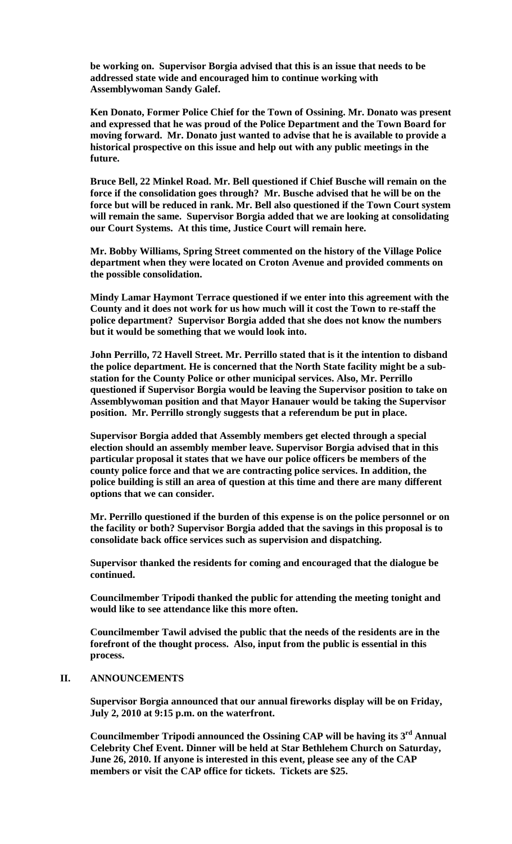**be working on. Supervisor Borgia advised that this is an issue that needs to be addressed state wide and encouraged him to continue working with Assemblywoman Sandy Galef.**

**Ken Donato, Former Police Chief for the Town of Ossining. Mr. Donato was present and expressed that he was proud of the Police Department and the Town Board for moving forward. Mr. Donato just wanted to advise that he is available to provide a historical prospective on this issue and help out with any public meetings in the future.**

**Bruce Bell, 22 Minkel Road. Mr. Bell questioned if Chief Busche will remain on the force if the consolidation goes through? Mr. Busche advised that he will be on the force but will be reduced in rank. Mr. Bell also questioned if the Town Court system will remain the same. Supervisor Borgia added that we are looking at consolidating our Court Systems. At this time, Justice Court will remain here.**

**Mr. Bobby Williams, Spring Street commented on the history of the Village Police department when they were located on Croton Avenue and provided comments on the possible consolidation.**

**Mindy Lamar Haymont Terrace questioned if we enter into this agreement with the County and it does not work for us how much will it cost the Town to re-staff the police department? Supervisor Borgia added that she does not know the numbers but it would be something that we would look into.** 

**John Perrillo, 72 Havell Street. Mr. Perrillo stated that is it the intention to disband the police department. He is concerned that the North State facility might be a substation for the County Police or other municipal services. Also, Mr. Perrillo questioned if Supervisor Borgia would be leaving the Supervisor position to take on Assemblywoman position and that Mayor Hanauer would be taking the Supervisor position. Mr. Perrillo strongly suggests that a referendum be put in place.** 

**Supervisor Borgia added that Assembly members get elected through a special election should an assembly member leave. Supervisor Borgia advised that in this particular proposal it states that we have our police officers be members of the county police force and that we are contracting police services. In addition, the police building is still an area of question at this time and there are many different options that we can consider.**

**Mr. Perrillo questioned if the burden of this expense is on the police personnel or on the facility or both? Supervisor Borgia added that the savings in this proposal is to consolidate back office services such as supervision and dispatching.** 

**Supervisor thanked the residents for coming and encouraged that the dialogue be continued.** 

**Councilmember Tripodi thanked the public for attending the meeting tonight and would like to see attendance like this more often.** 

**Councilmember Tawil advised the public that the needs of the residents are in the forefront of the thought process. Also, input from the public is essential in this process.** 

# **II. ANNOUNCEMENTS**

**Supervisor Borgia announced that our annual fireworks display will be on Friday, July 2, 2010 at 9:15 p.m. on the waterfront.** 

**Councilmember Tripodi announced the Ossining CAP will be having its 3rd Annual Celebrity Chef Event. Dinner will be held at Star Bethlehem Church on Saturday, June 26, 2010. If anyone is interested in this event, please see any of the CAP members or visit the CAP office for tickets. Tickets are \$25.**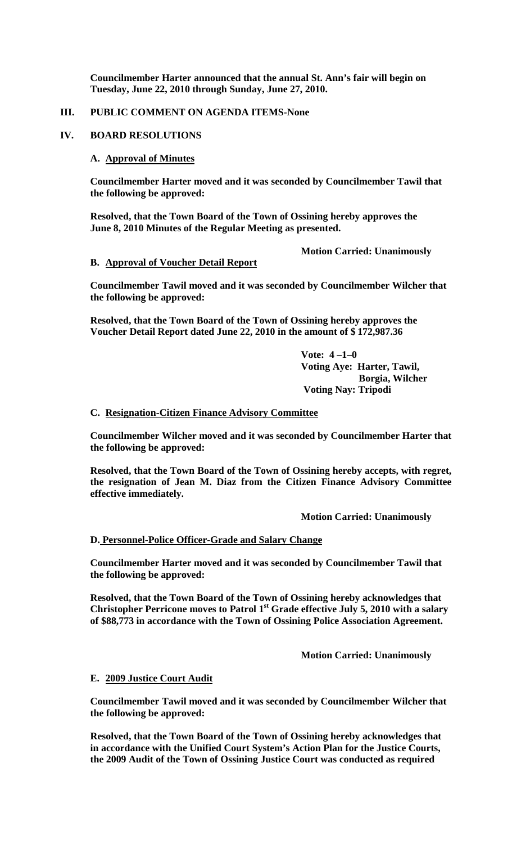**Councilmember Harter announced that the annual St. Ann's fair will begin on Tuesday, June 22, 2010 through Sunday, June 27, 2010.**

## **III. PUBLIC COMMENT ON AGENDA ITEMS-None**

### **IV. BOARD RESOLUTIONS**

### **A. Approval of Minutes**

**Councilmember Harter moved and it was seconded by Councilmember Tawil that the following be approved:**

**Resolved, that the Town Board of the Town of Ossining hereby approves the June 8, 2010 Minutes of the Regular Meeting as presented.**

**Motion Carried: Unanimously**

### **B. Approval of Voucher Detail Report**

**Councilmember Tawil moved and it was seconded by Councilmember Wilcher that the following be approved:**

**Resolved, that the Town Board of the Town of Ossining hereby approves the Voucher Detail Report dated June 22, 2010 in the amount of \$ 172,987.36**

> **Vote: 4 –1–0 Voting Aye: Harter, Tawil, Borgia, Wilcher Voting Nay: Tripodi**

### **C. Resignation-Citizen Finance Advisory Committee**

**Councilmember Wilcher moved and it was seconded by Councilmember Harter that the following be approved:**

**Resolved, that the Town Board of the Town of Ossining hereby accepts, with regret, the resignation of Jean M. Diaz from the Citizen Finance Advisory Committee effective immediately.**

**Motion Carried: Unanimously**

### **D. Personnel-Police Officer-Grade and Salary Change**

**Councilmember Harter moved and it was seconded by Councilmember Tawil that the following be approved:**

**Resolved, that the Town Board of the Town of Ossining hereby acknowledges that**  Christopher Perricone moves to Patrol 1<sup>st</sup> Grade effective July 5, 2010 with a salary **of \$88,773 in accordance with the Town of Ossining Police Association Agreement.**

**Motion Carried: Unanimously**

## **E. 2009 Justice Court Audit**

**Councilmember Tawil moved and it was seconded by Councilmember Wilcher that the following be approved:**

**Resolved, that the Town Board of the Town of Ossining hereby acknowledges that in accordance with the Unified Court System's Action Plan for the Justice Courts, the 2009 Audit of the Town of Ossining Justice Court was conducted as required**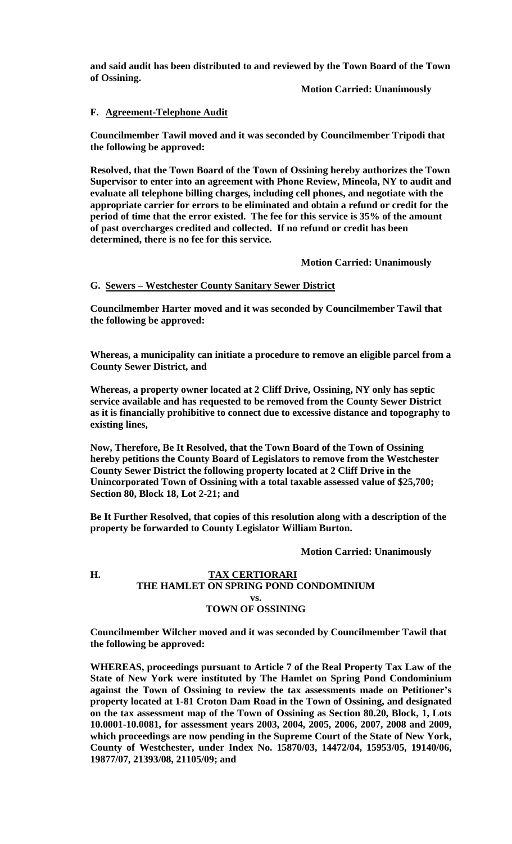**and said audit has been distributed to and reviewed by the Town Board of the Town of Ossining.**

**Motion Carried: Unanimously**

## **F. Agreement-Telephone Audit**

**Councilmember Tawil moved and it was seconded by Councilmember Tripodi that the following be approved:**

**Resolved, that the Town Board of the Town of Ossining hereby authorizes the Town Supervisor to enter into an agreement with Phone Review, Mineola, NY to audit and evaluate all telephone billing charges, including cell phones, and negotiate with the appropriate carrier for errors to be eliminated and obtain a refund or credit for the period of time that the error existed. The fee for this service is 35% of the amount of past overcharges credited and collected. If no refund or credit has been determined, there is no fee for this service.**

**Motion Carried: Unanimously**

## **G. Sewers – Westchester County Sanitary Sewer District**

**Councilmember Harter moved and it was seconded by Councilmember Tawil that the following be approved:**

**Whereas, a municipality can initiate a procedure to remove an eligible parcel from a County Sewer District, and**

**Whereas, a property owner located at 2 Cliff Drive, Ossining, NY only has septic service available and has requested to be removed from the County Sewer District as it is financially prohibitive to connect due to excessive distance and topography to existing lines,**

**Now, Therefore, Be It Resolved, that the Town Board of the Town of Ossining hereby petitions the County Board of Legislators to remove from the Westchester County Sewer District the following property located at 2 Cliff Drive in the Unincorporated Town of Ossining with a total taxable assessed value of \$25,700; Section 80, Block 18, Lot 2-21; and**

**Be It Further Resolved, that copies of this resolution along with a description of the property be forwarded to County Legislator William Burton.**

**Motion Carried: Unanimously**

# **H. TAX CERTIORARI THE HAMLET ON SPRING POND CONDOMINIUM vs. TOWN OF OSSINING**

**Councilmember Wilcher moved and it was seconded by Councilmember Tawil that the following be approved:**

**WHEREAS, proceedings pursuant to Article 7 of the Real Property Tax Law of the State of New York were instituted by The Hamlet on Spring Pond Condominium against the Town of Ossining to review the tax assessments made on Petitioner's property located at 1-81 Croton Dam Road in the Town of Ossining, and designated on the tax assessment map of the Town of Ossining as Section 80.20, Block, 1, Lots 10.0001-10.0081, for assessment years 2003, 2004, 2005, 2006, 2007, 2008 and 2009, which proceedings are now pending in the Supreme Court of the State of New York, County of Westchester, under Index No. 15870/03, 14472/04, 15953/05, 19140/06, 19877/07, 21393/08, 21105/09; and**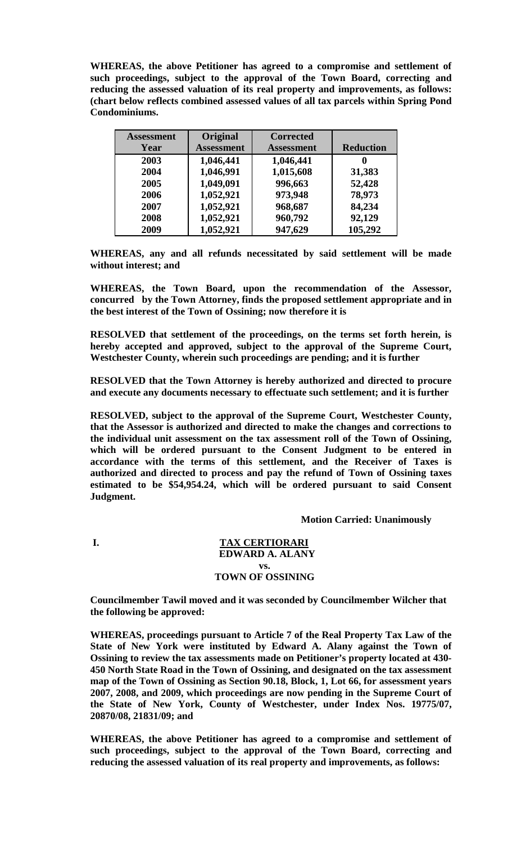**WHEREAS, the above Petitioner has agreed to a compromise and settlement of such proceedings, subject to the approval of the Town Board, correcting and reducing the assessed valuation of its real property and improvements, as follows: (chart below reflects combined assessed values of all tax parcels within Spring Pond Condominiums.** 

| <b>Assessment</b> | Original          | <b>Corrected</b>  |                  |
|-------------------|-------------------|-------------------|------------------|
| Year              | <b>Assessment</b> | <b>Assessment</b> | <b>Reduction</b> |
| 2003              | 1,046,441         | 1,046,441         |                  |
| 2004              | 1,046,991         | 1,015,608         | 31,383           |
| 2005              | 1,049,091         | 996,663           | 52,428           |
| 2006              | 1,052,921         | 973,948           | 78,973           |
| 2007              | 1,052,921         | 968,687           | 84,234           |
| 2008              | 1,052,921         | 960,792           | 92,129           |
| 2009              | 1,052,921         | 947,629           | 105,292          |

**WHEREAS, any and all refunds necessitated by said settlement will be made without interest; and**

**WHEREAS, the Town Board, upon the recommendation of the Assessor, concurred by the Town Attorney, finds the proposed settlement appropriate and in the best interest of the Town of Ossining; now therefore it is**

**RESOLVED that settlement of the proceedings, on the terms set forth herein, is hereby accepted and approved, subject to the approval of the Supreme Court, Westchester County, wherein such proceedings are pending; and it is further**

**RESOLVED that the Town Attorney is hereby authorized and directed to procure and execute any documents necessary to effectuate such settlement; and it is further**

**RESOLVED, subject to the approval of the Supreme Court, Westchester County, that the Assessor is authorized and directed to make the changes and corrections to the individual unit assessment on the tax assessment roll of the Town of Ossining, which will be ordered pursuant to the Consent Judgment to be entered in accordance with the terms of this settlement, and the Receiver of Taxes is authorized and directed to process and pay the refund of Town of Ossining taxes estimated to be \$54,954.24, which will be ordered pursuant to said Consent Judgment.**

**Motion Carried: Unanimously**

### **I. TAX CERTIORARI EDWARD A. ALANY vs. TOWN OF OSSINING**

**Councilmember Tawil moved and it was seconded by Councilmember Wilcher that the following be approved:**

**WHEREAS, proceedings pursuant to Article 7 of the Real Property Tax Law of the State of New York were instituted by Edward A. Alany against the Town of Ossining to review the tax assessments made on Petitioner's property located at 430- 450 North State Road in the Town of Ossining, and designated on the tax assessment map of the Town of Ossining as Section 90.18, Block, 1, Lot 66, for assessment years 2007, 2008, and 2009, which proceedings are now pending in the Supreme Court of the State of New York, County of Westchester, under Index Nos. 19775/07, 20870/08, 21831/09; and**

**WHEREAS, the above Petitioner has agreed to a compromise and settlement of such proceedings, subject to the approval of the Town Board, correcting and reducing the assessed valuation of its real property and improvements, as follows:**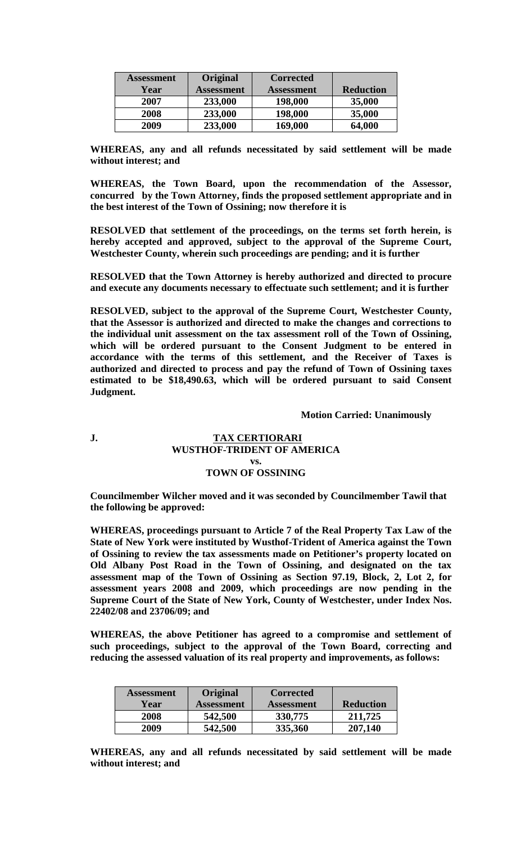| <b>Assessment</b> | Original          | <b>Corrected</b>  |                  |
|-------------------|-------------------|-------------------|------------------|
| Year              | <b>Assessment</b> | <b>Assessment</b> | <b>Reduction</b> |
| 2007              | 233,000           | 198,000           | 35,000           |
| 2008              | 233,000           | 198,000           | 35,000           |
| 2009              | 233,000           | 169,000           | 64,000           |

**WHEREAS, any and all refunds necessitated by said settlement will be made without interest; and**

**WHEREAS, the Town Board, upon the recommendation of the Assessor, concurred by the Town Attorney, finds the proposed settlement appropriate and in the best interest of the Town of Ossining; now therefore it is**

**RESOLVED that settlement of the proceedings, on the terms set forth herein, is hereby accepted and approved, subject to the approval of the Supreme Court, Westchester County, wherein such proceedings are pending; and it is further**

**RESOLVED that the Town Attorney is hereby authorized and directed to procure and execute any documents necessary to effectuate such settlement; and it is further**

**RESOLVED, subject to the approval of the Supreme Court, Westchester County, that the Assessor is authorized and directed to make the changes and corrections to the individual unit assessment on the tax assessment roll of the Town of Ossining, which will be ordered pursuant to the Consent Judgment to be entered in accordance with the terms of this settlement, and the Receiver of Taxes is authorized and directed to process and pay the refund of Town of Ossining taxes estimated to be \$18,490.63, which will be ordered pursuant to said Consent Judgment.**

**Motion Carried: Unanimously**

### **J. TAX CERTIORARI WUSTHOF-TRIDENT OF AMERICA vs. TOWN OF OSSINING**

**Councilmember Wilcher moved and it was seconded by Councilmember Tawil that the following be approved:**

**WHEREAS, proceedings pursuant to Article 7 of the Real Property Tax Law of the State of New York were instituted by Wusthof-Trident of America against the Town of Ossining to review the tax assessments made on Petitioner's property located on Old Albany Post Road in the Town of Ossining, and designated on the tax assessment map of the Town of Ossining as Section 97.19, Block, 2, Lot 2, for assessment years 2008 and 2009, which proceedings are now pending in the Supreme Court of the State of New York, County of Westchester, under Index Nos. 22402/08 and 23706/09; and**

**WHEREAS, the above Petitioner has agreed to a compromise and settlement of such proceedings, subject to the approval of the Town Board, correcting and reducing the assessed valuation of its real property and improvements, as follows:**

| <b>Assessment</b> | Original   | <b>Corrected</b>  |                  |
|-------------------|------------|-------------------|------------------|
| Year              | Assessment | <b>Assessment</b> | <b>Reduction</b> |
| 2008              | 542,500    | 330,775           | 211,725          |
| 2009              | 542,500    | 335,360           | 207,140          |

**WHEREAS, any and all refunds necessitated by said settlement will be made without interest; and**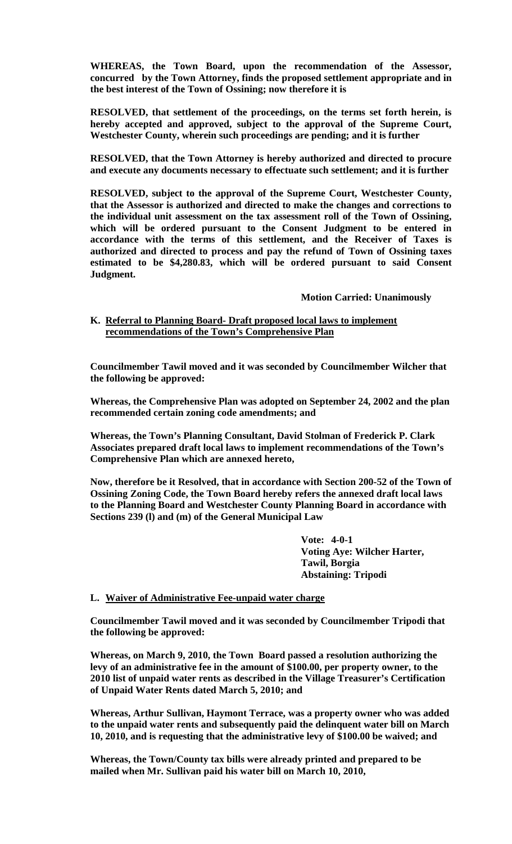**WHEREAS, the Town Board, upon the recommendation of the Assessor, concurred by the Town Attorney, finds the proposed settlement appropriate and in the best interest of the Town of Ossining; now therefore it is**

**RESOLVED, that settlement of the proceedings, on the terms set forth herein, is hereby accepted and approved, subject to the approval of the Supreme Court, Westchester County, wherein such proceedings are pending; and it is further**

**RESOLVED, that the Town Attorney is hereby authorized and directed to procure and execute any documents necessary to effectuate such settlement; and it is further**

**RESOLVED, subject to the approval of the Supreme Court, Westchester County, that the Assessor is authorized and directed to make the changes and corrections to the individual unit assessment on the tax assessment roll of the Town of Ossining, which will be ordered pursuant to the Consent Judgment to be entered in accordance with the terms of this settlement, and the Receiver of Taxes is authorized and directed to process and pay the refund of Town of Ossining taxes estimated to be \$4,280.83, which will be ordered pursuant to said Consent Judgment.**

**Motion Carried: Unanimously**

### **K. Referral to Planning Board- Draft proposed local laws to implement recommendations of the Town's Comprehensive Plan**

**Councilmember Tawil moved and it was seconded by Councilmember Wilcher that the following be approved:**

**Whereas, the Comprehensive Plan was adopted on September 24, 2002 and the plan recommended certain zoning code amendments; and**

**Whereas, the Town's Planning Consultant, David Stolman of Frederick P. Clark Associates prepared draft local laws to implement recommendations of the Town's Comprehensive Plan which are annexed hereto,**

**Now, therefore be it Resolved, that in accordance with Section 200-52 of the Town of Ossining Zoning Code, the Town Board hereby refers the annexed draft local laws to the Planning Board and Westchester County Planning Board in accordance with Sections 239 (l) and (m) of the General Municipal Law** 

> **Vote: 4-0-1 Voting Aye: Wilcher Harter, Tawil, Borgia Abstaining: Tripodi**

### **L. Waiver of Administrative Fee-unpaid water charge**

**Councilmember Tawil moved and it was seconded by Councilmember Tripodi that the following be approved:**

**Whereas, on March 9, 2010, the Town Board passed a resolution authorizing the levy of an administrative fee in the amount of \$100.00, per property owner, to the 2010 list of unpaid water rents as described in the Village Treasurer's Certification of Unpaid Water Rents dated March 5, 2010; and**

**Whereas, Arthur Sullivan, Haymont Terrace, was a property owner who was added to the unpaid water rents and subsequently paid the delinquent water bill on March 10, 2010, and is requesting that the administrative levy of \$100.00 be waived; and**

**Whereas, the Town/County tax bills were already printed and prepared to be mailed when Mr. Sullivan paid his water bill on March 10, 2010,**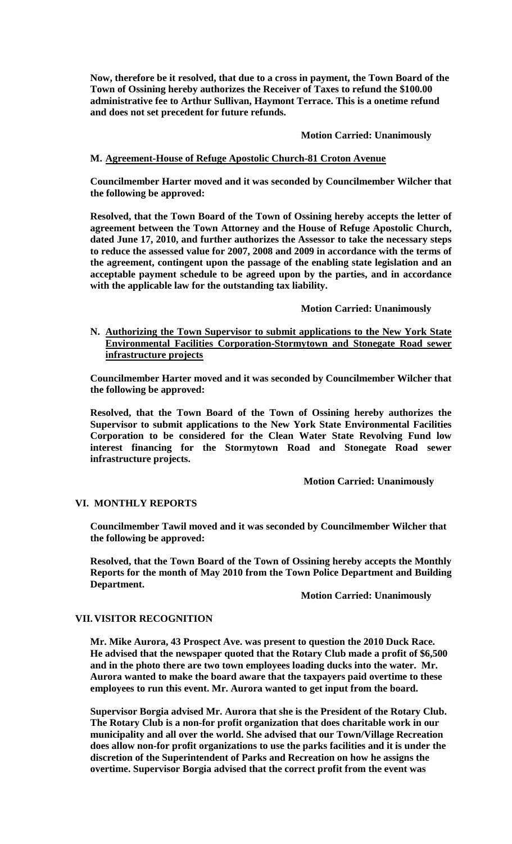**Now, therefore be it resolved, that due to a cross in payment, the Town Board of the Town of Ossining hereby authorizes the Receiver of Taxes to refund the \$100.00 administrative fee to Arthur Sullivan, Haymont Terrace. This is a onetime refund and does not set precedent for future refunds.**

### **Motion Carried: Unanimously**

## **M. Agreement-House of Refuge Apostolic Church-81 Croton Avenue**

**Councilmember Harter moved and it was seconded by Councilmember Wilcher that the following be approved:**

**Resolved, that the Town Board of the Town of Ossining hereby accepts the letter of agreement between the Town Attorney and the House of Refuge Apostolic Church, dated June 17, 2010, and further authorizes the Assessor to take the necessary steps to reduce the assessed value for 2007, 2008 and 2009 in accordance with the terms of the agreement, contingent upon the passage of the enabling state legislation and an acceptable payment schedule to be agreed upon by the parties, and in accordance with the applicable law for the outstanding tax liability.** 

### **Motion Carried: Unanimously**

**N. Authorizing the Town Supervisor to submit applications to the New York State Environmental Facilities Corporation-Stormytown and Stonegate Road sewer infrastructure projects**

**Councilmember Harter moved and it was seconded by Councilmember Wilcher that the following be approved:**

**Resolved, that the Town Board of the Town of Ossining hereby authorizes the Supervisor to submit applications to the New York State Environmental Facilities Corporation to be considered for the Clean Water State Revolving Fund low interest financing for the Stormytown Road and Stonegate Road sewer infrastructure projects.**

**Motion Carried: Unanimously**

### **VI. MONTHLY REPORTS**

**Councilmember Tawil moved and it was seconded by Councilmember Wilcher that the following be approved:**

**Resolved, that the Town Board of the Town of Ossining hereby accepts the Monthly Reports for the month of May 2010 from the Town Police Department and Building Department.**

**Motion Carried: Unanimously**

### **VII.VISITOR RECOGNITION**

**Mr. Mike Aurora, 43 Prospect Ave. was present to question the 2010 Duck Race. He advised that the newspaper quoted that the Rotary Club made a profit of \$6,500 and in the photo there are two town employees loading ducks into the water. Mr. Aurora wanted to make the board aware that the taxpayers paid overtime to these employees to run this event. Mr. Aurora wanted to get input from the board.**

**Supervisor Borgia advised Mr. Aurora that she is the President of the Rotary Club. The Rotary Club is a non-for profit organization that does charitable work in our municipality and all over the world. She advised that our Town/Village Recreation does allow non-for profit organizations to use the parks facilities and it is under the discretion of the Superintendent of Parks and Recreation on how he assigns the overtime. Supervisor Borgia advised that the correct profit from the event was**